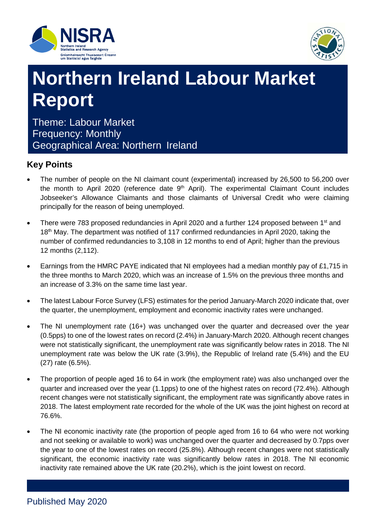



# **Northern Ireland Labour Market Report**

Theme: Labour Market Frequency: Monthly Geographical Area: Northern Ireland

# **Key Points**

- The number of people on the NI claimant count (experimental) increased by 26,500 to 56,200 over the month to April 2020 (reference date  $9<sup>th</sup>$  April). The experimental Claimant Count includes Jobseeker's Allowance Claimants and those claimants of Universal Credit who were claiming principally for the reason of being unemployed.
- There were 783 proposed redundancies in April 2020 and a further 124 proposed between 1<sup>st</sup> and 18<sup>th</sup> May. The department was notified of 117 confirmed redundancies in April 2020, taking the number of confirmed redundancies to 3,108 in 12 months to end of April; higher than the previous 12 months (2,112).
- Earnings from the HMRC PAYE indicated that NI employees had a median monthly pay of £1,715 in the three months to March 2020, which was an increase of 1.5% on the previous three months and an increase of 3.3% on the same time last year.
- The latest Labour Force Survey (LFS) estimates for the period January-March 2020 indicate that, over the quarter, the unemployment, employment and economic inactivity rates were unchanged.
- The NI unemployment rate (16+) was unchanged over the quarter and decreased over the year (0.5pps) to one of the lowest rates on record (2.4%) in January-March 2020. Although recent changes were not statistically significant, the unemployment rate was significantly below rates in 2018. The NI unemployment rate was below the UK rate (3.9%), the Republic of Ireland rate (5.4%) and the EU (27) rate (6.5%).
- The proportion of people aged 16 to 64 in work (the employment rate) was also unchanged over the quarter and increased over the year (1.1pps) to one of the highest rates on record (72.4%). Although recent changes were not statistically significant, the employment rate was significantly above rates in 2018. The latest employment rate recorded for the whole of the UK was the joint highest on record at 76.6%.
- The NI economic inactivity rate (the proportion of people aged from 16 to 64 who were not working and not seeking or available to work) was unchanged over the quarter and decreased by 0.7pps over the year to one of the lowest rates on record (25.8%). Although recent changes were not statistically significant, the economic inactivity rate was significantly below rates in 2018. The NI economic inactivity rate remained above the UK rate (20.2%), which is the joint lowest on record.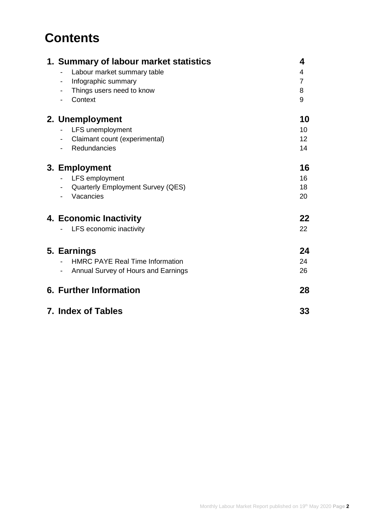# **Contents**

| 4               |
|-----------------|
| 4               |
| $\overline{7}$  |
| 8               |
| 9               |
| 10              |
| 10              |
| 12 <sup>2</sup> |
| 14              |
| 16              |
| 16              |
| 18              |
| 20              |
| 22              |
| 22              |
| 24              |
| 24              |
| 26              |
|                 |
| 28              |
| 33              |
|                 |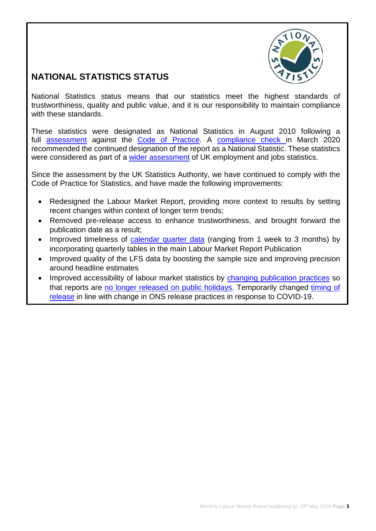

# **NATIONAL STATISTICS STATUS**

National Statistics status means that our statistics meet the highest standards of trustworthiness, quality and public value, and it is our responsibility to maintain compliance with these standards.

These statistics were designated as National Statistics in August 2010 following a full **[assessment](https://www.statisticsauthority.gov.uk/wp-content/uploads/2015/12/images-assessment-report-29-assessment-of-labour-market-statistics-for-northern-ireland_tcm97-29491.pdf)** against the [Code of Practice.](https://www.statisticsauthority.gov.uk/code-of-practice/) A [compliance check](https://www.statisticsauthority.gov.uk/correspondence/devolved-labour-market-compliance-check/) in March 2020 recommended the continued designation of the report as a National Statistic. These statistics were considered as part of a [wider assessment](https://www.statisticsauthority.gov.uk/publication/assessment-report-uk-employment-and-jobs-statistics/) of UK employment and jobs statistics.

Since the assessment by the UK Statistics Authority, we have continued to comply with the Code of Practice for Statistics, and have made the following improvements:

- Redesigned the Labour Market Report, providing more context to results by setting recent changes within context of longer term trends;
- Removed pre-release access to enhance trustworthiness, and brought forward the publication date as a result;
- Improved timeliness of [calendar quarter data](https://www.nisra.gov.uk/publications/quarterly-labour-force-survey-tables-may-2020) (ranging from 1 week to 3 months) by incorporating quarterly tables in the main Labour Market Report Publication
- Improved quality of the LFS data by boosting the sample size and improving precision around headline estimates
- Improved accessibility of labour market statistics by changing [publication practices](https://www.ons.gov.uk/news/statementsandletters/statementonchangingthereleasedatesofonsstatisticstoavoidpublicholidays) so that reports are [no longer released on public holidays.](https://www.nisra.gov.uk/publications/elms-publication-schedule) Temporarily changed [timing of](https://www.statisticsauthority.gov.uk/correspondence/temporary-exemption-from-code-of-practice-for-nisra-market-sensitive-publications/)  [release](https://www.statisticsauthority.gov.uk/correspondence/temporary-exemption-from-code-of-practice-for-nisra-market-sensitive-publications/) in line with change in ONS release practices in response to COVID-19.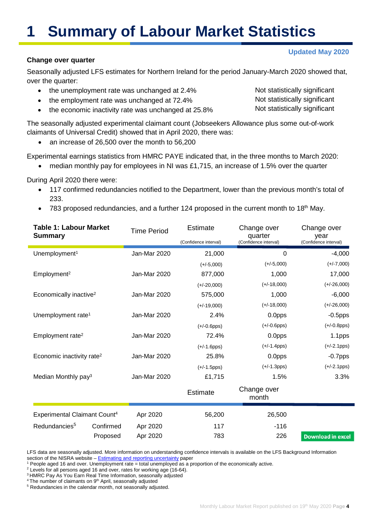# **1 Summary of Labour Market Statistics**

#### **Change over quarter**

Seasonally adjusted LFS estimates for Northern Ireland for the period January-March 2020 showed that, over the quarter:

- the unemployment rate was unchanged at 2.4%
- the employment rate was unchanged at 72.4%
- the economic inactivity rate was unchanged at 25.8%

The seasonally adjusted experimental claimant count (Jobseekers Allowance plus some out-of-work claimants of Universal Credit) showed that in April 2020, there was:

• an increase of 26,500 over the month to 56,200

Experimental earnings statistics from HMRC PAYE indicated that, in the three months to March 2020:

• median monthly pay for employees in NI was £1,715, an increase of 1.5% over the quarter

During April 2020 there were:

É

- 117 confirmed redundancies notified to the Department, lower than the previous month's total of 233.
- 783 proposed redundancies, and a further 124 proposed in the current month to  $18<sup>th</sup>$  May.

| <b>Table 1: Labour Market</b><br><b>Summary</b> |           | <b>Time Period</b> | <b>Estimate</b><br>(Confidence interval) | Change over<br>quarter<br>(Confidence interval) | Change over<br>year<br>(Confidence interval) |
|-------------------------------------------------|-----------|--------------------|------------------------------------------|-------------------------------------------------|----------------------------------------------|
| Unemployment <sup>1</sup>                       |           | Jan-Mar 2020       | 21,000                                   | 0                                               | $-4,000$                                     |
|                                                 |           |                    | $(+/-5,000)$                             | $(+/-5,000)$                                    | $(+/-7,000)$                                 |
| Employment <sup>2</sup>                         |           | Jan-Mar 2020       | 877,000                                  | 1,000                                           | 17,000                                       |
|                                                 |           |                    | $(+/-20,000)$                            | $(+/-18,000)$                                   | $(+/-26,000)$                                |
| Economically inactive <sup>2</sup>              |           | Jan-Mar 2020       | 575,000                                  | 1,000                                           | $-6,000$                                     |
|                                                 |           |                    | $(+/-19,000)$                            | $(+/-18,000)$                                   | $(+/-26,000)$                                |
| Unemployment rate <sup>1</sup>                  |           | Jan-Mar 2020       | 2.4%                                     | 0.0pps                                          | $-0.5$ pps                                   |
|                                                 |           |                    | $(+/-0.6$ pps)                           | $(+/-0.6$ pps)                                  | $(+/-0.8$ pps)                               |
| Employment rate <sup>2</sup>                    |           | Jan-Mar 2020       | 72.4%                                    | 0.0pps                                          | 1.1pps                                       |
|                                                 |           |                    | $(+/-1.6pps)$                            | $(+/-1.4pps)$                                   | $(+/-2.1pps)$                                |
| Economic inactivity rate <sup>2</sup>           |           | Jan-Mar 2020       | 25.8%                                    | 0.0pps                                          | $-0.7$ pps                                   |
|                                                 |           |                    | $(+/-1.5pps)$                            | $(+/-1.3pps)$                                   | $(+/-2.1pps)$                                |
| Median Monthly pay <sup>3</sup>                 |           | Jan-Mar 2020       | £1,715                                   | 1.5%                                            | 3.3%                                         |
|                                                 |           |                    | <b>Estimate</b>                          | Change over<br>month                            |                                              |
| Experimental Claimant Count <sup>4</sup>        |           | Apr 2020           | 56,200                                   | 26,500                                          |                                              |
| Redundancies <sup>5</sup>                       | Confirmed | Apr 2020           | 117                                      | $-116$                                          |                                              |
|                                                 | Proposed  | Apr 2020           | 783                                      | 226                                             | <b>Download in excel</b>                     |

LFS data are seasonally adjusted. More information on understanding confidence intervals is available on the LFS Background Information section of the NISRA website – **[Estimating and reporting uncertainty](https://www.nisra.gov.uk/publications/background-information-lfs)** paper

<sup>1</sup> People aged 16 and over. Unemployment rate = total unemployed as a proportion of the economically active.

- <sup>2</sup> Levels for all persons aged 16 and over, rates for working age (16-64).
- <sup>3</sup> HMRC Pay As You Earn Real Time Information, seasonally adjusted

<sup>4</sup> The number of claimants on 9<sup>th</sup> April, seasonally adjusted

<sup>5</sup> Redundancies in the calendar month, not seasonally adjusted.

Not statistically significant Not statistically significant Not statistically significant

# **Updated May 2020**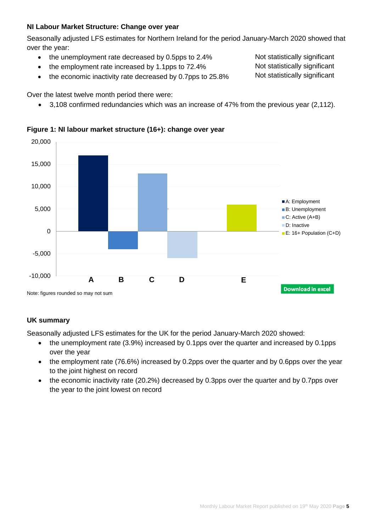# **NI Labour Market Structure: Change over year**

Seasonally adjusted LFS estimates for Northern Ireland for the period January-March 2020 showed that over the year:

- the unemployment rate decreased by 0.5pps to 2.4%
- the employment rate increased by 1.1pps to 72.4%
- the economic inactivity rate decreased by 0.7pps to 25.8%

Over the latest twelve month period there were:

• 3,108 confirmed redundancies which was an increase of 47% from the previous year (2,112).



# **Figure 1: NI labour market structure (16+): change over year**

# **UK summary**

Seasonally adjusted LFS estimates for the UK for the period January-March 2020 showed:

- the unemployment rate (3.9%) increased by 0.1pps over the quarter and increased by 0.1pps over the year
- the employment rate (76.6%) increased by 0.2pps over the quarter and by 0.6pps over the year to the joint highest on record
- the economic inactivity rate (20.2%) decreased by 0.3pps over the quarter and by 0.7pps over the year to the joint lowest on record

Not statistically significant Not statistically significant Not statistically significant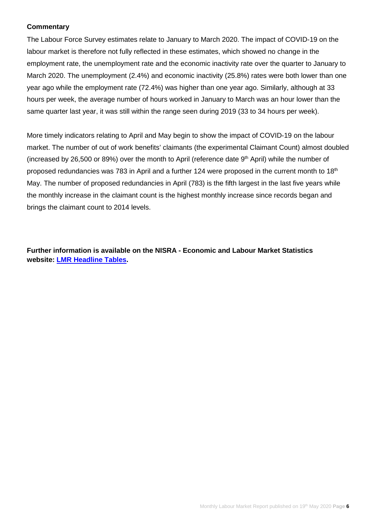# **Commentary**

The Labour Force Survey estimates relate to January to March 2020. The impact of COVID-19 on the labour market is therefore not fully reflected in these estimates, which showed no change in the employment rate, the unemployment rate and the economic inactivity rate over the quarter to January to March 2020. The unemployment (2.4%) and economic inactivity (25.8%) rates were both lower than one year ago while the employment rate (72.4%) was higher than one year ago. Similarly, although at 33 hours per week, the average number of hours worked in January to March was an hour lower than the same quarter last year, it was still within the range seen during 2019 (33 to 34 hours per week).

More timely indicators relating to April and May begin to show the impact of COVID-19 on the labour market. The number of out of work benefits' claimants (the experimental Claimant Count) almost doubled (increased by 26,500 or 89%) over the month to April (reference date 9th April) while the number of proposed redundancies was 783 in April and a further 124 were proposed in the current month to 18<sup>th</sup> May. The number of proposed redundancies in April (783) is the fifth largest in the last five years while the monthly increase in the claimant count is the highest monthly increase since records began and brings the claimant count to 2014 levels.

**Further information is available on the NISRA - Economic and Labour Market Statistics website: [LMR Headline Tables.](https://www.nisra.gov.uk/publications/labour-market-report-may-2020)**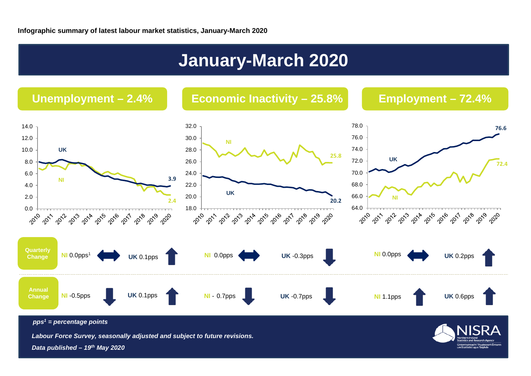# **January-March 2020**

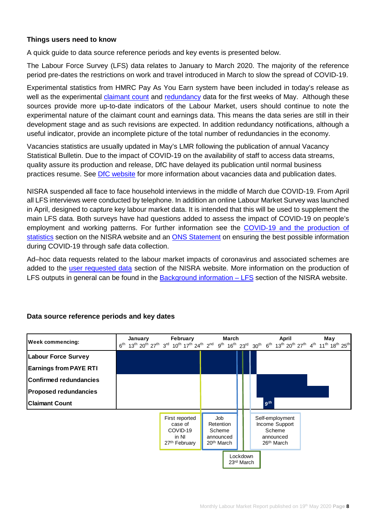# **Things users need to know**

A quick guide to data source reference periods and key events is presented below.

The Labour Force Survey (LFS) data relates to January to March 2020. The majority of the reference period pre-dates the restrictions on work and travel introduced in March to slow the spread of COVID-19.

Experimental statistics from HMRC Pay As You Earn system have been included in today's release as well as the experimental [claimant count](https://www.nisra.gov.uk/statistics/labour-market-and-social-welfare/claimant-count) and [redundancy](https://www.nisra.gov.uk/statistics/labour-market-and-social-welfare/redundancies) data for the first weeks of May. Although these sources provide more up-to-date indicators of the Labour Market, users should continue to note the experimental nature of the claimant count and earnings data. This means the data series are still in their development stage and as such revisions are expected. In addition redundancy notifications, although a useful indicator, provide an incomplete picture of the total number of redundancies in the economy.

Vacancies statistics are usually updated in May's LMR following the publication of annual Vacancy Statistical Bulletin. Due to the impact of COVID-19 on the availability of staff to access data streams, quality assure its production and release, DfC have delayed its publication until normal business practices resume. See [DfC website](https://www.communities-ni.gov.uk/topics/statistics-and-research/labour-market-information.) for more information about vacancies data and publication dates.

NISRA suspended all face to face household interviews in the middle of March due COVID-19. From April all LFS interviews were conducted by telephone. In addition an online Labour Market Survey was launched in April, designed to capture key labour market data. It is intended that this will be used to supplement the main LFS data. Both surveys have had questions added to assess the impact of COVID-19 on people's employment and working patterns. For further information see the [COVID-19 and the production of](https://www.nisra.gov.uk/news/covid-19-and-production-statistics)  [statistics](https://www.nisra.gov.uk/news/covid-19-and-production-statistics) section on the NISRA website and an **ONS** Statement on ensuring the best possible information during COVID-19 through safe data collection.

Ad–hoc data requests related to the labour market impacts of coronavirus and associated schemes are added to the [user requested data](https://www.nisra.gov.uk/statistics/labour-market-and-social-welfare/user-requested-data) section of the NISRA website. More information on the production of LFS outputs in general can be found in the [Background information –](https://www.nisra.gov.uk/publications/background-information-lfs) LFS section of the NISRA website.



# **Data source reference periods and key dates**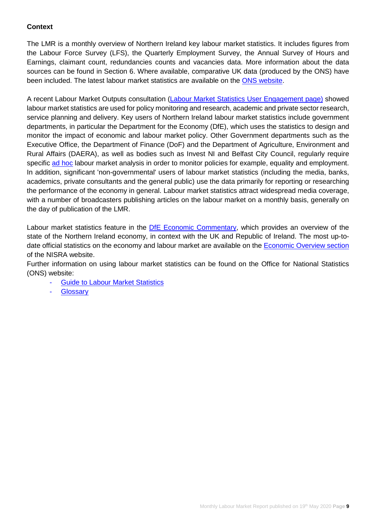# **Context**

The LMR is a monthly overview of Northern Ireland key labour market statistics. It includes figures from the Labour Force Survey (LFS), the Quarterly Employment Survey, the Annual Survey of Hours and Earnings, claimant count, redundancies counts and vacancies data. More information about the data sources can be found in Section 6. Where available, comparative UK data (produced by the ONS) have been included. The latest labour market statistics are available on the [ONS website.](http://www.ons.gov.uk/ons/taxonomy/index.html?nscl=Labour+Market)

A recent Labour Market Outputs consultation [\(Labour Market Statistics User Engagement page\)](https://www.nisra.gov.uk/statistics/labour-market-and-social-welfare/labour-market-statistics-user-engagement) showed labour market statistics are used for policy monitoring and research, academic and private sector research, service planning and delivery. Key users of Northern Ireland labour market statistics include government departments, in particular the Department for the Economy (DfE), which uses the statistics to design and monitor the impact of economic and labour market policy. Other Government departments such as the Executive Office, the Department of Finance (DoF) and the Department of Agriculture, Environment and Rural Affairs (DAERA), as well as bodies such as Invest NI and Belfast City Council, regularly require specific [ad hoc](https://www.nisra.gov.uk/statistics/labour-market-and-social-welfare/user-requested-data) labour market analysis in order to monitor policies for example, equality and employment. In addition, significant 'non-governmental' users of labour market statistics (including the media, banks, academics, private consultants and the general public) use the data primarily for reporting or researching the performance of the economy in general. Labour market statistics attract widespread media coverage, with a number of broadcasters publishing articles on the labour market on a monthly basis, generally on the day of publication of the LMR.

Labour market statistics feature in the [DfE Economic Commentary,](https://www.economy-ni.gov.uk/publications/dfe-economic-commentary) which provides an overview of the state of the Northern Ireland economy, in context with the UK and Republic of Ireland. The most up-todate official statistics on the economy and labour market are available on the [Economic Overview section](https://www.nisra.gov.uk/statistics/nisra-economic-and-labour-market-statistics-elms/economic-overview) of the NISRA website.

Further information on using labour market statistics can be found on the Office for National Statistics (ONS) website:

- **[Guide to Labour Market Statistics](https://www.ons.gov.uk/employmentandlabourmarket/peopleinwork/employmentandemployeetypes/methodologies/aguidetolabourmarketstatistics)**
- **[Glossary](https://www.ons.gov.uk/employmentandlabourmarket/peopleinwork/employmentandemployeetypes/methodologies/aguidetolabourmarketstatistics#glossary)**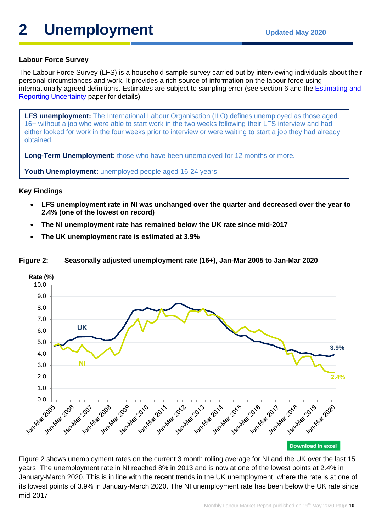# **2** Unemployment Updated May 2020

# **Labour Force Survey**

The Labour Force Survey (LFS) is a household sample survey carried out by interviewing individuals about their personal circumstances and work. It provides a rich source of information on the labour force using internationally agreed definitions. Estimates are subject to sampling error (see section 6 and the [Estimating and](https://www.nisra.gov.uk/system/files/statistics/Labour%20Force%20Survey%20-%20Estimating%20and%20reporting%20uncertainty.pdf)  [Reporting Uncertainty](https://www.nisra.gov.uk/system/files/statistics/Labour%20Force%20Survey%20-%20Estimating%20and%20reporting%20uncertainty.pdf) paper for details).

**LFS unemployment:** The International Labour Organisation (ILO) defines unemployed as those aged 16+ without a job who were able to start work in the two weeks following their LFS interview and had either looked for work in the four weeks prior to interview or were waiting to start a job they had already obtained.

**Long-Term Unemployment:** those who have been unemployed for 12 months or more.

**Youth Unemployment:** unemployed people aged 16-24 years.

# **Key Findings**

- **LFS unemployment rate in NI was unchanged over the quarter and decreased over the year to 2.4% (one of the lowest on record)**
- **The NI unemployment rate has remained below the UK rate since mid-2017**
- **The UK unemployment rate is estimated at 3.9%**



#### **Figure 2: Seasonally adjusted unemployment rate (16+), Jan-Mar 2005 to Jan-Mar 2020**

Figure 2 shows unemployment rates on the current 3 month rolling average for NI and the UK over the last 15 years. The unemployment rate in NI reached 8% in 2013 and is now at one of the lowest points at 2.4% in January-March 2020. This is in line with the recent trends in the UK unemployment, where the rate is at one of its lowest points of 3.9% in January-March 2020. The NI unemployment rate has been below the UK rate since mid-2017.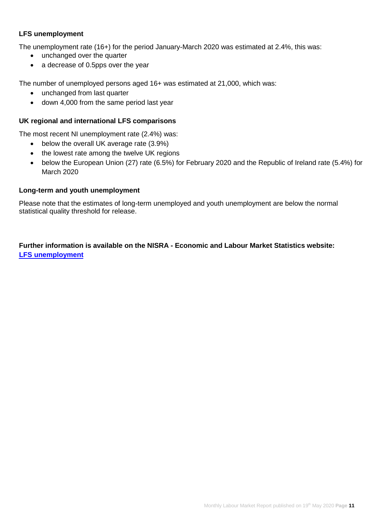# **LFS unemployment**

The unemployment rate (16+) for the period January-March 2020 was estimated at 2.4%, this was:

- unchanged over the quarter
- a decrease of 0.5pps over the year

The number of unemployed persons aged 16+ was estimated at 21,000, which was:

- unchanged from last quarter
- down 4,000 from the same period last year

#### **UK regional and international LFS comparisons**

The most recent NI unemployment rate (2.4%) was:

- below the overall UK average rate (3.9%)
- the lowest rate among the twelve UK regions
- below the European Union (27) rate (6.5%) for February 2020 and the Republic of Ireland rate (5.4%) for March 2020

#### **Long-term and youth unemployment**

Please note that the estimates of long-term unemployed and youth unemployment are below the normal statistical quality threshold for release.

**Further information is available on the NISRA - Economic and Labour Market Statistics website: [LFS unemployment](https://www.nisra.gov.uk/statistics/labour-market-and-social-welfare/labour-force-survey)**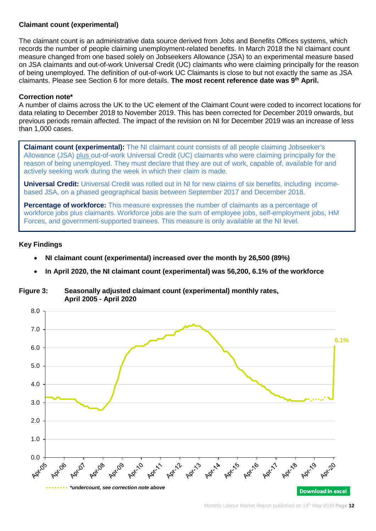# **Claimant count (experimental)**

The claimant count is an administrative data source derived from Jobs and Benefits Offices systems, which records the number of people claiming unemployment-related benefits. In March 2018 the NI claimant count measure changed from one based solely on Jobseekers Allowance (JSA) to an experimental measure based on JSA claimants and out-of-work Universal Credit (UC) claimants who were claiming principally for the reason of being unemployed. The definition of out-of-work UC Claimants is close to but not exactly the same as JSA claimants. Please see Section 6 for more details. **The most recent reference date was 9th April.**

#### **Correction note\***

A number of claims across the UK to the UC element of the Claimant Count were coded to incorrect locations for data relating to December 2018 to November 2019. This has been corrected for December 2019 onwards, but previous periods remain affected. The impact of the revision on NI for December 2019 was an increase of less than 1,000 cases.

**Claimant count (experimental):** The NI claimant count consists of all people claiming Jobseeker's Allowance (JSA) plus out-of-work Universal Credit (UC) claimants who were claiming principally for the reason of being unemployed. They must declare that they are out of work, capable of, available for and actively seeking work during the week in which their claim is made.

**Universal Credit:** Universal Credit was rolled out in NI for new claims of six benefits, including incomebased JSA, on a phased geographical basis between September 2017 and December 2018.

**Percentage of workforce:** This measure expresses the number of claimants as a percentage of workforce jobs plus claimants. Workforce jobs are the sum of employee jobs, self-employment jobs, HM Forces, and government-supported trainees. This measure is only available at the NI level.

#### **Key Findings**

- **NI claimant count (experimental) increased over the month by 26,500 (89%)**
- **In April 2020, the NI claimant count (experimental) was 56,200, 6.1% of the workforce**

**Figure 3: Seasonally adjusted claimant count (experimental) monthly rates, April 2005 - April 2020**

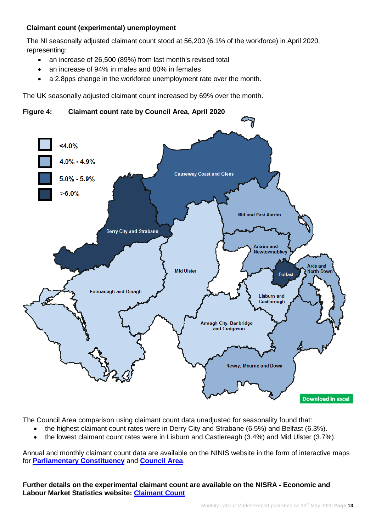# **Claimant count (experimental) unemployment**

The NI seasonally adjusted claimant count stood at 56,200 (6.1% of the workforce) in April 2020, representing:

- an increase of 26,500 (89%) from last month's revised total
- an increase of 94% in males and 80% in females
- a 2.8pps change in the workforce unemployment rate over the month.

The UK seasonally adjusted claimant count increased by 69% over the month.

**Figure 4: Claimant count rate by Council Area, April 2020**



The Council Area comparison using claimant count data unadjusted for seasonality found that:

- the highest claimant count rates were in Derry City and Strabane (6.5%) and Belfast (6.3%).
- the lowest claimant count rates were in Lisburn and Castlereagh (3.4%) and Mid Ulster (3.7%).

Annual and monthly claimant count data are available on the NINIS website in the form of interactive maps for **[Parliamentary Constituency](https://www.ninis2.nisra.gov.uk/InteractiveMaps/Labour%20Market/Claimant%20Count%20Monthly%20Averages%20AA/atlas.html)** and **[Council Area](http://www.ninis2.nisra.gov.uk/InteractiveMaps/Labour%20Market/Claimant%20Count%20Monthly%20Averages%20LGD2014/atlas.html)**.

**Further details on the experimental claimant count are available on the NISRA - Economic and Labour Market Statistics website: [Claimant](https://www.nisra.gov.uk/statistics/labour-market-and-social-welfare/claimant-count) Count**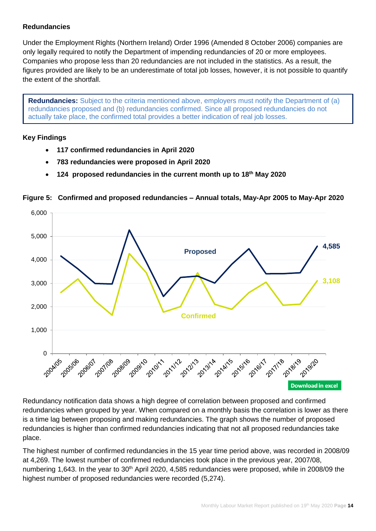# **Redundancies**

Under the Employment Rights (Northern Ireland) Order 1996 (Amended 8 October 2006) companies are only legally required to notify the Department of impending redundancies of 20 or more employees. Companies who propose less than 20 redundancies are not included in the statistics. As a result, the figures provided are likely to be an underestimate of total job losses, however, it is not possible to quantify the extent of the shortfall.

**Redundancies:** Subject to the criteria mentioned above, employers must notify the Department of (a) redundancies proposed and (b) redundancies confirmed. Since all proposed redundancies do not actually take place, the confirmed total provides a better indication of real job losses.

# **Key Findings**

- **117 confirmed redundancies in April 2020**
- **783 redundancies were proposed in April 2020**
- **124 proposed redundancies in the current month up to 18 th May 2020**

# **Figure 5: Confirmed and proposed redundancies – Annual totals, May-Apr 2005 to May-Apr 2020**



Redundancy notification data shows a high degree of correlation between proposed and confirmed redundancies when grouped by year. When compared on a monthly basis the correlation is lower as there is a time lag between proposing and making redundancies. The graph shows the number of proposed redundancies is higher than confirmed redundancies indicating that not all proposed redundancies take place.

The highest number of confirmed redundancies in the 15 year time period above, was recorded in 2008/09 at 4,269. The lowest number of confirmed redundancies took place in the previous year, 2007/08, numbering 1,643. In the year to 30<sup>th</sup> April 2020, 4,585 redundancies were proposed, while in 2008/09 the highest number of proposed redundancies were recorded (5,274).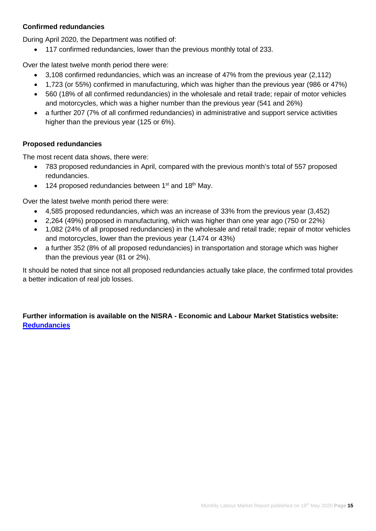# **Confirmed redundancies**

During April 2020, the Department was notified of:

• 117 confirmed redundancies, lower than the previous monthly total of 233.

Over the latest twelve month period there were:

- 3,108 confirmed redundancies, which was an increase of 47% from the previous year (2,112)
- 1,723 (or 55%) confirmed in manufacturing, which was higher than the previous year (986 or 47%)
- 560 (18% of all confirmed redundancies) in the wholesale and retail trade; repair of motor vehicles and motorcycles, which was a higher number than the previous year (541 and 26%)
- a further 207 (7% of all confirmed redundancies) in administrative and support service activities higher than the previous year (125 or 6%).

# **Proposed redundancies**

The most recent data shows, there were:

- 783 proposed redundancies in April, compared with the previous month's total of 557 proposed redundancies.
- 124 proposed redundancies between  $1<sup>st</sup>$  and  $18<sup>th</sup>$  May.

Over the latest twelve month period there were:

- 4,585 proposed redundancies, which was an increase of 33% from the previous year (3,452)
- 2,264 (49%) proposed in manufacturing, which was higher than one year ago (750 or 22%)
- 1,082 (24% of all proposed redundancies) in the wholesale and retail trade; repair of motor vehicles and motorcycles, lower than the previous year (1,474 or 43%)
- a further 352 (8% of all proposed redundancies) in transportation and storage which was higher than the previous year (81 or 2%).

It should be noted that since not all proposed redundancies actually take place, the confirmed total provides a better indication of real job losses.

# **Further information is available on the NISRA - Economic and Labour Market Statistics website: [Redundancies](https://www.nisra.gov.uk/statistics/labour-market-and-social-welfare/redundancies)**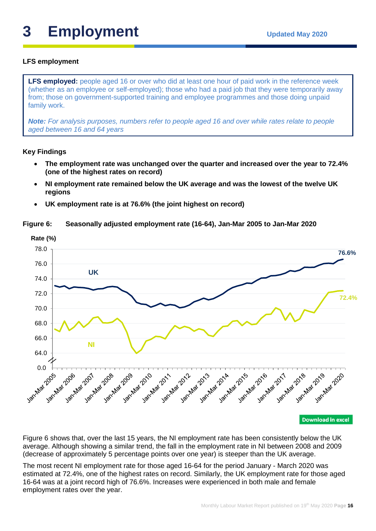# **3** Employment Updated May 2020

# **LFS employment**

**LFS employed:** people aged 16 or over who did at least one hour of paid work in the reference week (whether as an employee or self-employed); those who had a paid job that they were temporarily away from; those on government-supported training and employee programmes and those doing unpaid family work.

*Note: For analysis purposes, numbers refer to people aged 16 and over while rates relate to people aged between 16 and 64 years*

# **Key Findings**

- **The employment rate was unchanged over the quarter and increased over the year to 72.4% (one of the highest rates on record)**
- **NI employment rate remained below the UK average and was the lowest of the twelve UK regions**
- **UK employment rate is at 76.6% (the joint highest on record)**

#### **Figure 6: Seasonally adjusted employment rate (16-64), Jan-Mar 2005 to Jan-Mar 2020**



Figure 6 shows that, over the last 15 years, the NI employment rate has been consistently below the UK average. Although showing a similar trend, the fall in the employment rate in NI between 2008 and 2009 (decrease of approximately 5 percentage points over one year) is steeper than the UK average.

The most recent NI employment rate for those aged 16-64 for the period January - March 2020 was estimated at 72.4%, one of the highest rates on record. Similarly, the UK employment rate for those aged 16-64 was at a joint record high of 76.6%. Increases were experienced in both male and female employment rates over the year.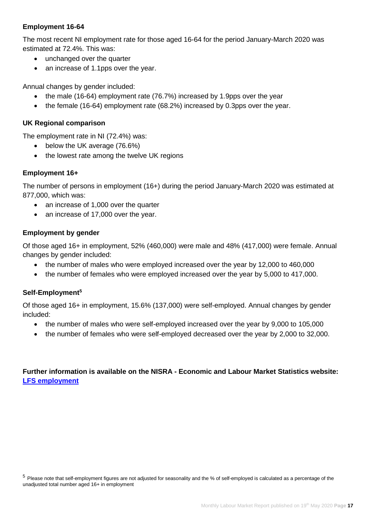# **Employment 16-64**

The most recent NI employment rate for those aged 16-64 for the period January-March 2020 was estimated at 72.4%. This was:

- unchanged over the quarter
- an increase of 1.1pps over the year.

Annual changes by gender included:

- the male (16-64) employment rate (76.7%) increased by 1.9pps over the year
- the female (16-64) employment rate (68.2%) increased by 0.3pps over the year.

# **UK Regional comparison**

The employment rate in NI (72.4%) was:

- below the UK average (76.6%)
- the lowest rate among the twelve UK regions

# **Employment 16+**

The number of persons in employment (16+) during the period January-March 2020 was estimated at 877,000, which was:

- an increase of 1,000 over the quarter
- an increase of 17,000 over the year.

# **Employment by gender**

Of those aged 16+ in employment, 52% (460,000) were male and 48% (417,000) were female. Annual changes by gender included:

- the number of males who were employed increased over the year by 12,000 to 460,000
- the number of females who were employed increased over the year by 5,000 to 417,000.

# **Self-Employment5**

Of those aged 16+ in employment, 15.6% (137,000) were self-employed. Annual changes by gender included:

- the number of males who were self-employed increased over the year by 9,000 to 105,000
- the number of females who were self-employed decreased over the year by 2,000 to 32,000.

**Further information is available on the NISRA - Economic and Labour Market Statistics website: [LFS employment](https://www.nisra.gov.uk/statistics/labour-market-and-social-welfare/labour-force-survey)**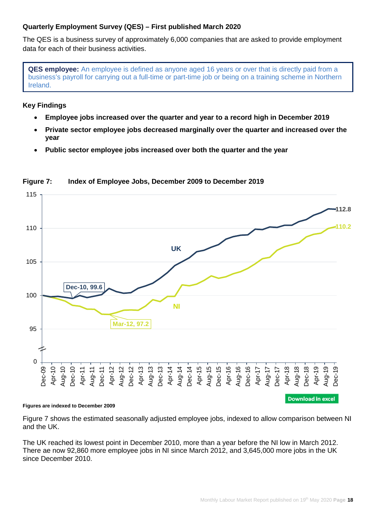# **Quarterly Employment Survey (QES) – First published March 2020**

The QES is a business survey of approximately 6,000 companies that are asked to provide employment data for each of their business activities.

**QES employee:** An employee is defined as anyone aged 16 years or over that is directly paid from a business's payroll for carrying out a full-time or part-time job or being on a training scheme in Northern Ireland.

# **Key Findings**

- **Employee jobs increased over the quarter and year to a record high in December 2019**
- **Private sector employee jobs decreased marginally over the quarter and increased over the year**
- **Public sector employee jobs increased over both the quarter and the year**



# **Figure 7: Index of Employee Jobs, December 2009 to December 2019**

#### **Figures are indexed to December 2009**

Figure 7 shows the estimated seasonally adjusted employee jobs, indexed to allow comparison between NI and the UK.

The UK reached its lowest point in December 2010, more than a year before the NI low in March 2012. There ae now 92,860 more employee jobs in NI since March 2012, and 3,645,000 more jobs in the UK since December 2010.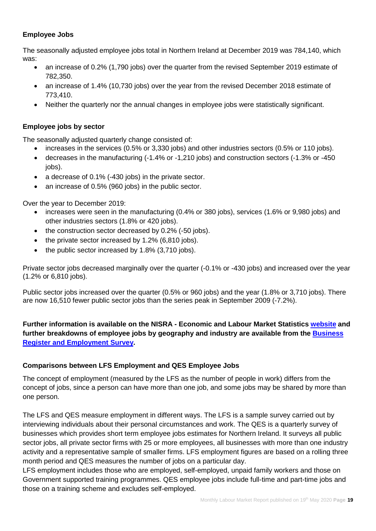# **Employee Jobs**

The seasonally adjusted employee jobs total in Northern Ireland at December 2019 was 784,140, which was:

- an increase of 0.2% (1,790 jobs) over the quarter from the revised September 2019 estimate of 782,350.
- an increase of 1.4% (10,730 jobs) over the year from the revised December 2018 estimate of 773,410.
- Neither the quarterly nor the annual changes in employee jobs were statistically significant.

# **Employee jobs by sector**

The seasonally adjusted quarterly change consisted of:

- increases in the services (0.5% or 3,330 jobs) and other industries sectors (0.5% or 110 jobs).
- decreases in the manufacturing (-1.4% or -1,210 jobs) and construction sectors (-1.3% or -450 iobs).
- a decrease of 0.1% (-430 jobs) in the private sector.
- an increase of 0.5% (960 jobs) in the public sector.

Over the year to December 2019:

- increases were seen in the manufacturing (0.4% or 380 jobs), services (1.6% or 9,980 jobs) and other industries sectors (1.8% or 420 jobs).
- the construction sector decreased by 0.2% (-50 jobs).
- the private sector increased by 1.2% (6.810 jobs).
- the public sector increased by 1.8% (3,710 jobs).

Private sector jobs decreased marginally over the quarter (-0.1% or -430 jobs) and increased over the year (1.2% or 6,810 jobs).

Public sector jobs increased over the quarter (0.5% or 960 jobs) and the year (1.8% or 3,710 jobs). There are now 16,510 fewer public sector jobs than the series peak in September 2009 (-7.2%).

# **Further information is available on the NISRA - Economic and Labour Market Statistics [website](https://www.nisra.gov.uk/statistics/labour-market-and-social-welfare/quarterly-employment-survey) and further breakdowns of employee jobs by geography and industry are available from the [Business](https://www.nisra.gov.uk/statistics/annual-employee-jobs-surveys/business-register-and-employment-survey)  [Register and Employment Survey.](https://www.nisra.gov.uk/statistics/annual-employee-jobs-surveys/business-register-and-employment-survey)**

# **Comparisons between LFS Employment and QES Employee Jobs**

The concept of employment (measured by the LFS as the number of people in work) differs from the concept of jobs, since a person can have more than one job, and some jobs may be shared by more than one person.

The LFS and QES measure employment in different ways. The LFS is a sample survey carried out by interviewing individuals about their personal circumstances and work. The QES is a quarterly survey of businesses which provides short term employee jobs estimates for Northern Ireland. It surveys all public sector jobs, all private sector firms with 25 or more employees, all businesses with more than one industry activity and a representative sample of smaller firms. LFS employment figures are based on a rolling three month period and QES measures the number of jobs on a particular day.

LFS employment includes those who are employed, self-employed, unpaid family workers and those on Government supported training programmes. QES employee jobs include full-time and part-time jobs and those on a training scheme and excludes self-employed.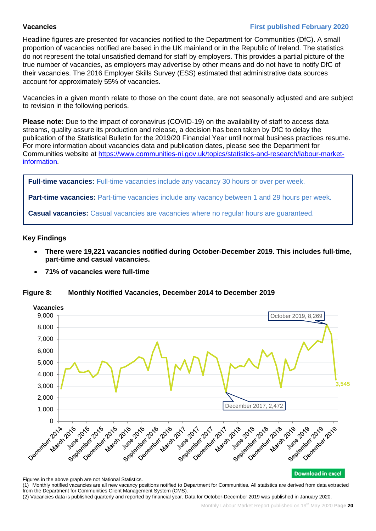# **Vacancies First published February 2020**

Headline figures are presented for vacancies notified to the Department for Communities (DfC). A small proportion of vacancies notified are based in the UK mainland or in the Republic of Ireland. The statistics do not represent the total unsatisfied demand for staff by employers. This provides a partial picture of the true number of vacancies, as employers may advertise by other means and do not have to notify DfC of their vacancies. The 2016 Employer Skills Survey (ESS) estimated that administrative data sources account for approximately 55% of vacancies.

Vacancies in a given month relate to those on the count date, are not seasonally adjusted and are subject to revision in the following periods.

**Please note:** Due to the impact of coronavirus (COVID-19) on the availability of staff to access data streams, quality assure its production and release, a decision has been taken by DfC to delay the publication of the Statistical Bulletin for the 2019/20 Financial Year until normal business practices resume. For more information about vacancies data and publication dates, please see the Department for Communities website at [https://www.communities-ni.gov.uk/topics/statistics-and-research/labour-market](https://www.communities-ni.gov.uk/topics/statistics-and-research/labour-market-information)[information.](https://www.communities-ni.gov.uk/topics/statistics-and-research/labour-market-information)

Full-time vacancies: Full-time vacancies include any vacancy 30 hours or over per week.

**Part-time vacancies:** Part-time vacancies include any vacancy between 1 and 29 hours per week.

**Casual vacancies:** Casual vacancies are vacancies where no regular hours are guaranteed.

# **Key Findings**

- **There were 19,221 vacancies notified during October-December 2019. This includes full-time, part-time and casual vacancies.**
- **71% of vacancies were full-time**

# **Figure 8: Monthly Notified Vacancies, December 2014 to December 2019**



Figures in the above graph are not National Statistics.

(1) Monthly notified vacancies are all new vacancy positions notified to Department for Communities. All statistics are derived from data extracted from the Department for Communities Client Management System (CMS).

(2) Vacancies data is published quarterly and reported by financial year. Data for October-December 2019 was published in January 2020.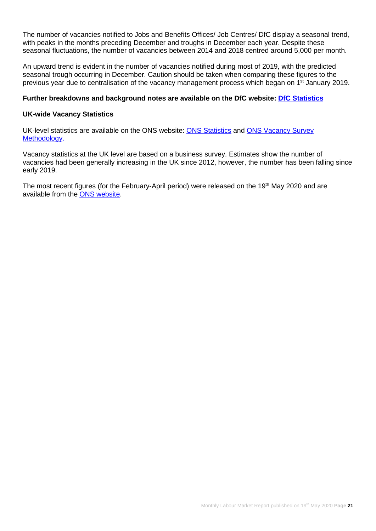The number of vacancies notified to Jobs and Benefits Offices/ Job Centres/ DfC display a seasonal trend, with peaks in the months preceding December and troughs in December each year. Despite these seasonal fluctuations, the number of vacancies between 2014 and 2018 centred around 5,000 per month.

An upward trend is evident in the number of vacancies notified during most of 2019, with the predicted seasonal trough occurring in December. Caution should be taken when comparing these figures to the previous year due to centralisation of the vacancy management process which began on 1<sup>st</sup> January 2019.

# **Further breakdowns and background notes are available on the DfC website: [DfC Statistics](https://www.communities-ni.gov.uk/topics/statistics-and-research/labour-market-information)**

#### **UK-wide Vacancy Statistics**

UK-level statistics are available on the ONS website: [ONS Statistics](https://www.ons.gov.uk/employmentandlabourmarket/peopleinwork/employmentandemployeetypes/bulletins/jobsandvacanciesintheuk/latest) and [ONS Vacancy Survey](https://www.ons.gov.uk/surveys/informationforbusinesses/businesssurveys/vacancysurvey)  [Methodology.](https://www.ons.gov.uk/surveys/informationforbusinesses/businesssurveys/vacancysurvey)

Vacancy statistics at the UK level are based on a business survey. Estimates show the number of vacancies had been generally increasing in the UK since 2012, however, the number has been falling since early 2019.

The most recent figures (for the February-April period) were released on the 19<sup>th</sup> May 2020 and are available from the [ONS website.](https://www.ons.gov.uk/employmentandlabourmarket/peopleinwork/employmentandemployeetypes/bulletins/jobsandvacanciesintheuk/latest)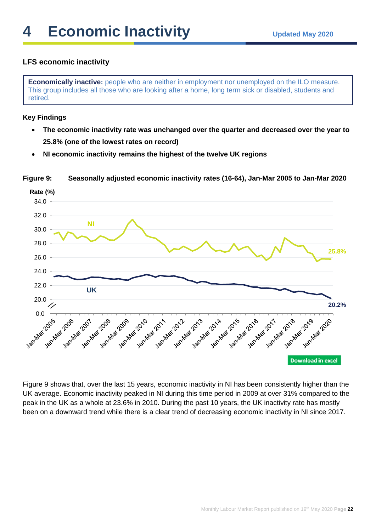# **LFS economic inactivity**

**Economically inactive:** people who are neither in employment nor unemployed on the ILO measure. This group includes all those who are looking after a home, long term sick or disabled, students and retired.

# **Key Findings**

- **The economic inactivity rate was unchanged over the quarter and decreased over the year to 25.8% (one of the lowest rates on record)**
- **NI economic inactivity remains the highest of the twelve UK regions**



**Figure 9: Seasonally adjusted economic inactivity rates (16-64), Jan-Mar 2005 to Jan-Mar 2020**

Figure 9 shows that, over the last 15 years, economic inactivity in NI has been consistently higher than the UK average. Economic inactivity peaked in NI during this time period in 2009 at over 31% compared to the peak in the UK as a whole at 23.6% in 2010. During the past 10 years, the UK inactivity rate has mostly been on a downward trend while there is a clear trend of decreasing economic inactivity in NI since 2017.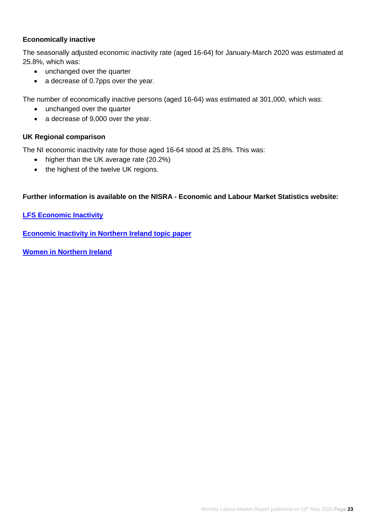# **Economically inactive**

The seasonally adjusted economic inactivity rate (aged 16-64) for January-March 2020 was estimated at 25.8%, which was:

- unchanged over the quarter
- a decrease of 0.7pps over the year.

The number of economically inactive persons (aged 16-64) was estimated at 301,000, which was:

- unchanged over the quarter
- a decrease of 9,000 over the year.

# **UK Regional comparison**

The NI economic inactivity rate for those aged 16-64 stood at 25.8%. This was:

- higher than the UK average rate (20.2%)
- the highest of the twelve UK regions.

# **Further information is available on the NISRA - Economic and Labour Market Statistics website:**

**[LFS Economic Inactivity](https://www.nisra.gov.uk/statistics/labour-market-and-social-welfare/labour-force-survey)**

**[Economic Inactivity in Northern Ireland topic paper](https://www.nisra.gov.uk/news/economic-inactivity-northern-ireland)**

**[Women in Northern Ireland](https://www.nisra.gov.uk/news/women-northern-ireland-2018)**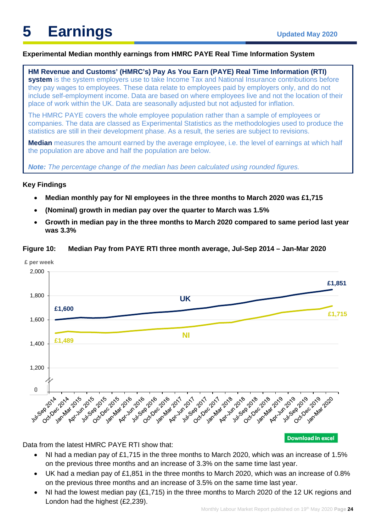# **Experimental Median monthly earnings from HMRC PAYE Real Time Information System**

**HM Revenue and Customs' (HMRC's) Pay As You Earn (PAYE) Real Time Information (RTI) system** is the system employers use to take Income Tax and National Insurance contributions before they pay wages to employees. These data relate to employees paid by employers only, and do not include self-employment income. Data are based on where employees live and not the location of their place of work within the UK. Data are seasonally adjusted but not adjusted for inflation.

The HMRC PAYE covers the whole employee population rather than a sample of employees or companies. The data are classed as [Experimental Statistics](https://www.ons.gov.uk/methodology/methodologytopicsandstatisticalconcepts/guidetoexperimentalstatistics) as the methodologies used to produce the statistics are still in their development phase. As a result, the series are subject to revisions.

**Median** measures the amount earned by the average employee, i.e. the level of earnings at which half the population are above and half the population are below.

*Note: The percentage change of the median has been calculated using rounded figures.* 

#### **Key Findings**

- **Median monthly pay for NI employees in the three months to March 2020 was £1,715**
- **(Nominal) growth in median pay over the quarter to March was 1.5%**
- **Growth in median pay in the three months to March 2020 compared to same period last year was 3.3%**



**Figure 10: Median Pay from PAYE RTI three month average, Jul-Sep 2014 – Jan-Mar 2020**

Data from the latest HMRC PAYE RTI show that:

- NI had a median pay of £1,715 in the three months to March 2020, which was an increase of 1.5% on the previous three months and an increase of 3.3% on the same time last year.
- UK had a median pay of £1,851 in the three months to March 2020, which was an increase of 0.8% on the previous three months and an increase of 3.5% on the same time last year.
- NI had the lowest median pay (£1,715) in the three months to March 2020 of the 12 UK regions and London had the highest (£2,239).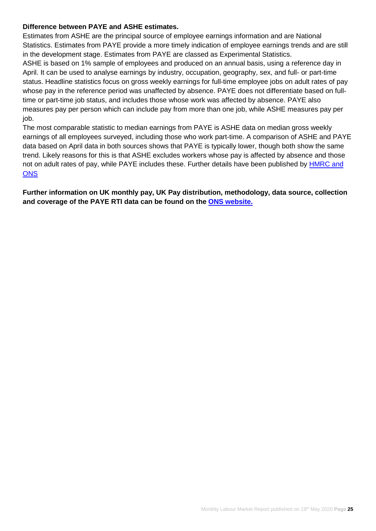# **Difference between PAYE and ASHE estimates.**

Estimates from ASHE are the principal source of employee earnings information and are National Statistics. Estimates from PAYE provide a more timely indication of employee earnings trends and are still in the development stage. Estimates from PAYE are classed as Experimental Statistics.

ASHE is based on 1% sample of employees and produced on an annual basis, using a reference day in April. It can be used to analyse earnings by industry, occupation, geography, sex, and full- or part-time status. Headline statistics focus on gross weekly earnings for full-time employee jobs on adult rates of pay whose pay in the reference period was unaffected by absence. PAYE does not differentiate based on fulltime or part-time job status, and includes those whose work was affected by absence. PAYE also measures pay per person which can include pay from more than one job, while ASHE measures pay per job.

The most comparable statistic to median earnings from PAYE is ASHE data on median gross weekly earnings of all employees surveyed, including those who work part-time. A comparison of ASHE and PAYE data based on April data in both sources shows that PAYE is typically lower, though both show the same trend. Likely reasons for this is that ASHE excludes workers whose pay is affected by absence and those not on adult rates of pay, while PAYE includes these. Further details have been published by [HMRC and](https://www.ons.gov.uk/employmentandlabourmarket/peopleinwork/earningsandworkinghours/articles/newmethodsformonthlyearningsandemploymentestimatesfrompayasyouearnrealtimeinformationpayertidata/december2019)  **[ONS](https://www.ons.gov.uk/employmentandlabourmarket/peopleinwork/earningsandworkinghours/articles/newmethodsformonthlyearningsandemploymentestimatesfrompayasyouearnrealtimeinformationpayertidata/december2019)** 

**Further information on UK monthly pay, UK Pay distribution, methodology, data source, collection and coverage of the PAYE RTI data can be found on the [ONS website.](https://www.ons.gov.uk/employmentandlabourmarket/peopleinwork/earningsandworkinghours/bulletins/earningsandemploymentfrompayasyouearnrealtimeinformationuk/july2014tojanuary2020)**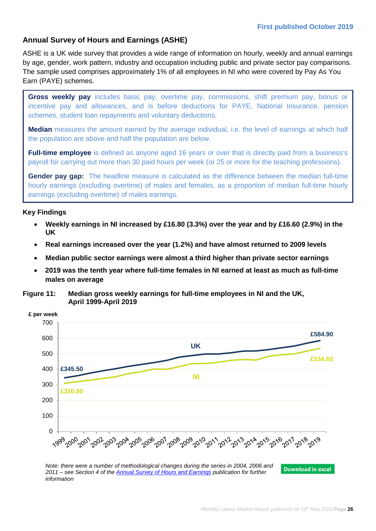# **Annual Survey of Hours and Earnings (ASHE)**

ASHE is a UK wide survey that provides a wide range of information on hourly, weekly and annual earnings by age, gender, work pattern, industry and occupation including public and private sector pay comparisons. The sample used comprises approximately 1% of all employees in NI who were covered by Pay As You Earn (PAYE) schemes.

**Gross weekly pay** includes basic pay, overtime pay, commissions, shift premium pay, bonus or incentive pay and allowances, and is before deductions for PAYE, National Insurance, pension schemes, student loan repayments and voluntary deductions.

**Median** measures the amount earned by the average individual, i.e. the level of earnings at which half the population are above and half the population are below.

**Full-time employee** is defined as anyone aged 16 years or over that is directly paid from a business's payroll for carrying out more than 30 paid hours per week (or 25 or more for the teaching professions).

**Gender pay gap:** The headline measure is calculated as the difference between the median full-time hourly earnings (excluding overtime) of males and females, as a proportion of median full-time hourly earnings (excluding overtime) of males earnings.

# **Key Findings**

- **Weekly earnings in NI increased by £16.80 (3.3%) over the year and by £16.60 (2.9%) in the UK**
- **Real earnings increased over the year (1.2%) and have almost returned to 2009 levels**
- **Median public sector earnings were almost a third higher than private sector earnings**
- **2019 was the tenth year where full-time females in NI earned at least as much as full-time males on average**

**Figure 11: Median gross weekly earnings for full-time employees in NI and the UK, April 1999-April 2019**



*Note: there were a number of methodological changes during the series in 2004, 2006 and*  **Download in excel** *2011 – see Section 4 of the [Annual Survey of Hours and Earnings](https://www.nisra.gov.uk/system/files/statistics/NI-ASHE-Bulletin-2019.PDF) publication for further information*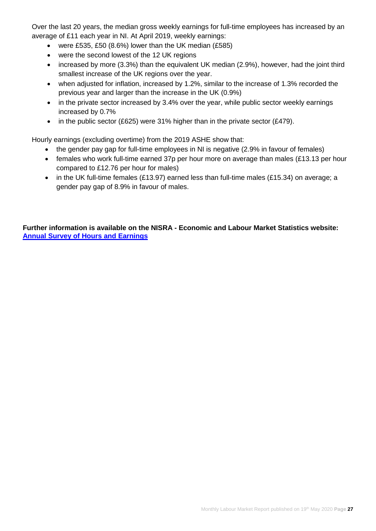Over the last 20 years, the median gross weekly earnings for full-time employees has increased by an average of £11 each year in NI. At April 2019, weekly earnings:

- were £535, £50 (8.6%) lower than the UK median (£585)
- were the second lowest of the 12 UK regions
- increased by more (3.3%) than the equivalent UK median (2.9%), however, had the joint third smallest increase of the UK regions over the year.
- when adjusted for inflation, increased by 1.2%, similar to the increase of 1.3% recorded the previous year and larger than the increase in the UK (0.9%)
- in the private sector increased by 3.4% over the year, while public sector weekly earnings increased by 0.7%
- in the public sector (£625) were 31% higher than in the private sector (£479).

Hourly earnings (excluding overtime) from the 2019 ASHE show that:

- the gender pay gap for full-time employees in NI is negative (2.9% in favour of females)
- females who work full-time earned 37p per hour more on average than males (£13.13 per hour compared to £12.76 per hour for males)
- in the UK full-time females (£13.97) earned less than full-time males (£15.34) on average; a gender pay gap of 8.9% in favour of males.

**Further information is available on the NISRA - Economic and Labour Market Statistics website: [Annual Survey of Hours and Earnings](https://www.nisra.gov.uk/statistics/labour-market-and-social-welfare/annual-survey-hours-and-earnings)**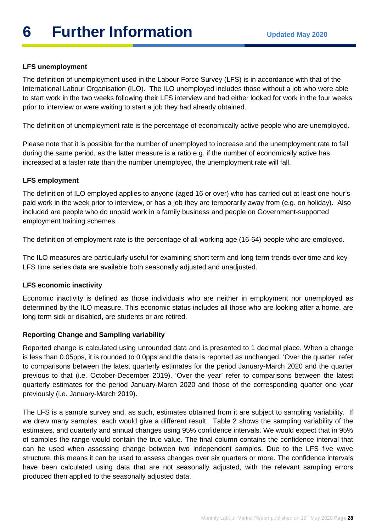# **LFS unemployment**

The definition of unemployment used in the Labour Force Survey (LFS) is in accordance with that of the International Labour Organisation (ILO). The ILO unemployed includes those without a job who were able to start work in the two weeks following their LFS interview and had either looked for work in the four weeks prior to interview or were waiting to start a job they had already obtained.

The definition of unemployment rate is the percentage of economically active people who are unemployed.

Please note that it is possible for the number of unemployed to increase and the unemployment rate to fall during the same period, as the latter measure is a ratio e.g. if the number of economically active has increased at a faster rate than the number unemployed, the unemployment rate will fall.

# **LFS employment**

The definition of ILO employed applies to anyone (aged 16 or over) who has carried out at least one hour's paid work in the week prior to interview, or has a job they are temporarily away from (e.g. on holiday). Also included are people who do unpaid work in a family business and people on Government-supported employment training schemes.

The definition of employment rate is the percentage of all working age (16-64) people who are employed.

The ILO measures are particularly useful for examining short term and long term trends over time and key LFS time series data are available both seasonally adjusted and unadjusted.

# **LFS economic inactivity**

Economic inactivity is defined as those individuals who are neither in employment nor unemployed as determined by the ILO measure. This economic status includes all those who are looking after a home, are long term sick or disabled, are students or are retired.

# **Reporting Change and Sampling variability**

Reported change is calculated using unrounded data and is presented to 1 decimal place. When a change is less than 0.05pps, it is rounded to 0.0pps and the data is reported as unchanged. 'Over the quarter' refer to comparisons between the latest quarterly estimates for the period January-March 2020 and the quarter previous to that (i.e. October-December 2019). 'Over the year' refer to comparisons between the latest quarterly estimates for the period January-March 2020 and those of the corresponding quarter one year previously (i.e. January-March 2019).

The LFS is a sample survey and, as such, estimates obtained from it are subject to sampling variability. If we drew many samples, each would give a different result. Table 2 shows the sampling variability of the estimates, and quarterly and annual changes using 95% confidence intervals. We would expect that in 95% of samples the range would contain the true value. The final column contains the confidence interval that can be used when assessing change between two independent samples. Due to the LFS five wave structure, this means it can be used to assess changes over six quarters or more. The confidence intervals have been calculated using data that are not seasonally adjusted, with the relevant sampling errors produced then applied to the seasonally adjusted data.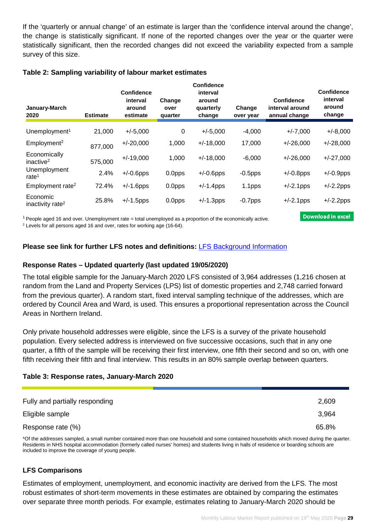If the 'quarterly or annual change' of an estimate is larger than the 'confidence interval around the change', the change is statistically significant. If none of the reported changes over the year or the quarter were statistically significant, then the recorded changes did not exceed the variability expected from a sample survey of this size.

# **Table 2: Sampling variability of labour market estimates**

| January-March<br>2020                    | <b>Estimate</b> | <b>Confidence</b><br>interval<br>around<br>estimate | Change<br>over<br>quarter | Confidence<br>interval<br>around<br>quarterly<br>change | Change<br>over year | <b>Confidence</b><br>interval around<br>annual change | <b>Confidence</b><br>interval<br>around<br>change |
|------------------------------------------|-----------------|-----------------------------------------------------|---------------------------|---------------------------------------------------------|---------------------|-------------------------------------------------------|---------------------------------------------------|
| Unemployment <sup>1</sup>                | 21,000          | $+/-5,000$                                          | 0                         | $+/-5,000$                                              | $-4,000$            | $+/-7,000$                                            | $+/-8,000$                                        |
| Employment <sup>2</sup>                  | 877,000         | $+/-20,000$                                         | 1,000                     | $+/-18,000$                                             | 17,000              | $+/-26,000$                                           | $+/-28,000$                                       |
| Economically<br>inactive <sup>2</sup>    | 575,000         | $+/-19,000$                                         | 1,000                     | $+/-18,000$                                             | $-6,000$            | $+/-26,000$                                           | $+/-27,000$                                       |
| Unemployment<br>rate $1$                 | 2.4%            | $+/-0.6$ pps                                        | 0.0pps                    | $+/-0.6$ pps                                            | $-0.5$ pps          | $+/-0.8$ pps                                          | $+/-0.9$ pps                                      |
| Employment rate <sup>2</sup>             | 72.4%           | $+/-1.6$ pps                                        | 0.0pps                    | $+/-1.4$ pps                                            | 1.1pps              | $+/-2.1$ pps                                          | $+/-2.2$ pps                                      |
| Economic<br>inactivity rate <sup>2</sup> | 25.8%           | $+/-1.5$ pps                                        | 0.0pps                    | $+/-1.3$ pps                                            | $-0.7$ pps          | $+/-2.1$ pps                                          | $+/-2.2$ pps                                      |

1 People aged 16 and over. Unemployment rate = total unemployed as a proportion of the economically active.

<sup>2</sup> Levels for all persons aged 16 and over, rates for working age (16-64).

# **Please see link for further LFS notes and definitions:** [LFS Background Information](https://www.nisra.gov.uk/publications/background-information-lfs)

# **Response Rates – Updated quarterly (last updated 19/05/2020)**

The total eligible sample for the January-March 2020 LFS consisted of 3,964 addresses (1,216 chosen at random from the Land and Property Services (LPS) list of domestic properties and 2,748 carried forward from the previous quarter). A random start, fixed interval sampling technique of the addresses, which are ordered by Council Area and Ward, is used. This ensures a proportional representation across the Council Areas in Northern Ireland.

Only private household addresses were eligible, since the LFS is a survey of the private household population. Every selected address is interviewed on five successive occasions, such that in any one quarter, a fifth of the sample will be receiving their first interview, one fifth their second and so on, with one fifth receiving their fifth and final interview. This results in an 80% sample overlap between quarters.

# **Table 3: Response rates, January-March 2020**

| Fully and partially responding | 2,609 |
|--------------------------------|-------|
| Eligible sample                | 3.964 |
| Response rate (%)              | 65.8% |

\*Of the addresses sampled, a small number contained more than one household and some contained households which moved during the quarter. Residents in NHS hospital accommodation (formerly called nurses' homes) and students living in halls of residence or boarding schools are included to improve the coverage of young people.

# **LFS Comparisons**

Estimates of employment, unemployment, and economic inactivity are derived from the LFS. The most robust estimates of short-term movements in these estimates are obtained by comparing the estimates over separate three month periods. For example, estimates relating to January-March 2020 should be

**Download in excel**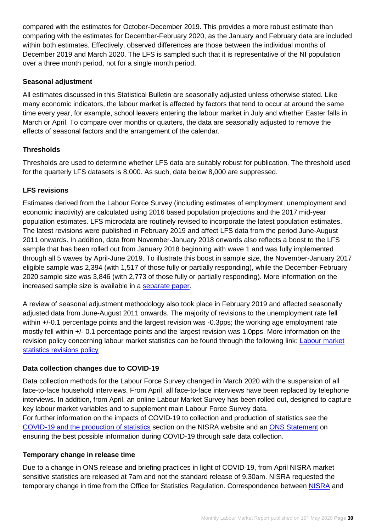compared with the estimates for October-December 2019. This provides a more robust estimate than comparing with the estimates for December-February 2020, as the January and February data are included within both estimates. Effectively, observed differences are those between the individual months of December 2019 and March 2020. The LFS is sampled such that it is representative of the NI population over a three month period, not for a single month period.

# **Seasonal adjustment**

All estimates discussed in this Statistical Bulletin are seasonally adjusted unless otherwise stated. Like many economic indicators, the labour market is affected by factors that tend to occur at around the same time every year, for example, school leavers entering the labour market in July and whether Easter falls in March or April. To compare over months or quarters, the data are seasonally adjusted to remove the effects of seasonal factors and the arrangement of the calendar.

# **Thresholds**

Thresholds are used to determine whether LFS data are suitably robust for publication. The threshold used for the quarterly LFS datasets is 8,000. As such, data below 8,000 are suppressed.

# **LFS revisions**

Estimates derived from the Labour Force Survey (including estimates of employment, unemployment and economic inactivity) are calculated using 2016 based population projections and the 2017 mid-year population estimates. LFS microdata are routinely revised to incorporate the latest population estimates. The latest revisions were published in February 2019 and affect LFS data from the period June-August 2011 onwards. In addition, data from November-January 2018 onwards also reflects a boost to the LFS sample that has been rolled out from January 2018 beginning with wave 1 and was fully implemented through all 5 waves by April-June 2019. To illustrate this boost in sample size, the November-January 2017 eligible sample was 2,394 (with 1,517 of those fully or partially responding), while the December-February 2020 sample size was 3,846 (with 2,773 of those fully or partially responding). More information on the increased sample size is available in a [separate paper.](https://www.nisra.gov.uk/publications/background-information-lfs)

A review of seasonal adjustment methodology also took place in February 2019 and affected seasonally adjusted data from June-August 2011 onwards. The majority of revisions to the unemployment rate fell within  $+/-0.1$  percentage points and the largest revision was  $-0.3$ pps; the working age employment rate mostly fell within +/- 0.1 percentage points and the largest revision was 1.0pps. More information on the revision policy concerning labour market statistics can be found through the following link: [Labour market](https://www.ons.gov.uk/methodology/methodologytopicsandstatisticalconcepts/revisions/revisionspoliciesforlabourmarketstatistics)  [statistics revisions policy](https://www.ons.gov.uk/methodology/methodologytopicsandstatisticalconcepts/revisions/revisionspoliciesforlabourmarketstatistics) 

# **Data collection changes due to COVID-19**

Data collection methods for the Labour Force Survey changed in March 2020 with the suspension of all face-to-face household interviews. From April, all face-to-face interviews have been replaced by telephone interviews. In addition, from April, an online Labour Market Survey has been rolled out, designed to capture key labour market variables and to supplement main Labour Force Survey data. For further information on the impacts of COVID-19 to collection and production of statistics see the [COVID-19 and the production of statistics](https://www.nisra.gov.uk/news/covid-19-and-production-statistics) section on the NISRA website and an [ONS Statement](https://www.ons.gov.uk/news/statementsandletters/ensuringthebestpossibleinformationduringcovid19throughsafedatacollection) on ensuring the best possible information during COVID-19 through safe data collection.

# **Temporary change in release time**

Due to a change in ONS release and briefing practices in light of COVID-19, from April NISRA market sensitive statistics are released at 7am and not the standard release of 9.30am. NISRA requested the temporary change in time from the Office for Statistics Regulation. Correspondence between [NISRA](https://www.statisticsauthority.gov.uk/correspondence/nisra-request-to-temporary-change-to-timing-of-key-northern-irish-economic-statistics/) and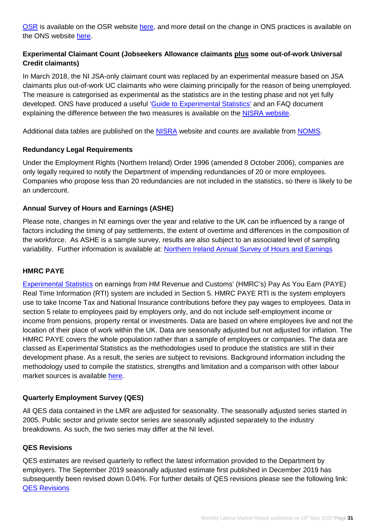[OSR](https://www.statisticsauthority.gov.uk/correspondence/temporary-exemption-from-code-of-practice-for-nisra-market-sensitive-publications/) is available on the OSR website [here,](https://www.statisticsauthority.gov.uk/correspondence-list/) and more detail on the change in ONS practices is available on the ONS website [here.](https://www.ons.gov.uk/news/statementsandletters/changestopublicationtimesformarketsensitivestatistics)

# **Experimental Claimant Count (Jobseekers Allowance claimants plus some out-of-work Universal Credit claimants)**

In March 2018, the NI JSA-only claimant count was replaced by an experimental measure based on JSA claimants plus out-of-work UC claimants who were claiming principally for the reason of being unemployed. The measure is categorised as experimental as the statistics are in the testing phase and not yet fully developed. ONS have produced a useful ['Guide to Experimental Statistics'](https://www.ons.gov.uk/methodology/methodologytopicsandstatisticalconcepts/guidetoexperimentalstatistics) and an FAQ document explaining the difference between the two measures is available on the [NISRA website.](https://www.nisra.gov.uk/news/changes-claimant-count)

Additional data tables are published on the [NISRA](https://www.nisra.gov.uk/statistics/labour-market-and-social-welfare/claimant-count) website and counts are available from [NOMIS.](https://www.nomisweb.co.uk/)

# **Redundancy Legal Requirements**

Under the Employment Rights (Northern Ireland) Order 1996 (amended 8 October 2006), companies are only legally required to notify the Department of impending redundancies of 20 or more employees. Companies who propose less than 20 redundancies are not included in the statistics, so there is likely to be an undercount.

# **Annual Survey of Hours and Earnings (ASHE)**

Please note, changes in NI earnings over the year and relative to the UK can be influenced by a range of factors including the timing of pay settlements, the extent of overtime and differences in the composition of the workforce. As ASHE is a sample survey, results are also subject to an associated level of sampling variability. Further information is available at: [Northern Ireland Annual Survey of Hours and Earnings](https://www.nisra.gov.uk/statistics/labour-market-and-social-welfare/annual-survey-hours-and-earnings)

# **HMRC PAYE**

[Experimental Statistics](https://www.ons.gov.uk/methodology/methodologytopicsandstatisticalconcepts/guidetoexperimentalstatistics) on earnings from HM Revenue and Customs' (HMRC's) Pay As You Earn (PAYE) Real Time Information (RTI) system are included in Section 5. HMRC PAYE RTI is the system employers use to take Income Tax and National Insurance contributions before they pay wages to employees. Data in section 5 relate to employees paid by employers only, and do not include self-employment income or income from pensions, property rental or investments. Data are based on where employees live and not the location of their place of work within the UK. Data are seasonally adjusted but not adjusted for inflation. The HMRC PAYE covers the whole population rather than a sample of employees or companies. The data are classed as [Experimental Statistics](https://www.ons.gov.uk/methodology/methodologytopicsandstatisticalconcepts/guidetoexperimentalstatistics) as the methodologies used to produce the statistics are still in their development phase. As a result, the series are subject to revisions. Background information including the methodology used to compile the statistics, strengths and limitation and a comparison with other labour market sources is available [here.](https://www.ons.gov.uk/employmentandlabourmarket/peopleinwork/earningsandworkinghours/articles/newmethodsformonthlyearningsandemploymentestimatesfrompayasyouearnrealtimeinformationpayertidata/december2019)

# **Quarterly Employment Survey (QES)**

All QES data contained in the LMR are adjusted for seasonality. The seasonally adjusted series started in 2005. Public sector and private sector series are seasonally adjusted separately to the industry breakdowns. As such, the two series may differ at the NI level.

# **QES Revisions**

QES estimates are revised quarterly to reflect the latest information provided to the Department by employers. The September 2019 seasonally adjusted estimate first published in December 2019 has subsequently been revised down 0.04%. For further details of QES revisions please see the following link: [QES Revisions](https://www.nisra.gov.uk/publications/quarterly-employment-survey-revisions)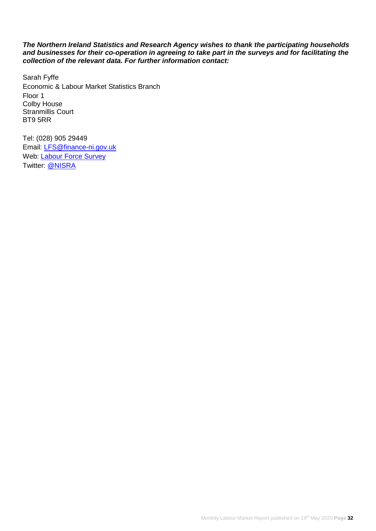#### *The Northern Ireland Statistics and Research Agency wishes to thank the participating households and businesses for their co-operation in agreeing to take part in the surveys and for facilitating the collection of the relevant data. For further information contact:*

Sarah Fyffe Economic & Labour Market Statistics Branch Floor 1 Colby House Stranmillis Court BT9 5RR

Tel: (028) 905 29449 Email: [LFS@finance-ni.gov.uk](mailto:LFS@finance-ni.gov.uk) Web: [Labour Force Survey](https://www.nisra.gov.uk/statistics/labour-market-and-social-welfare/labour-force-survey) Twitter: [@NISRA](https://twitter.com/ELMSNISRA)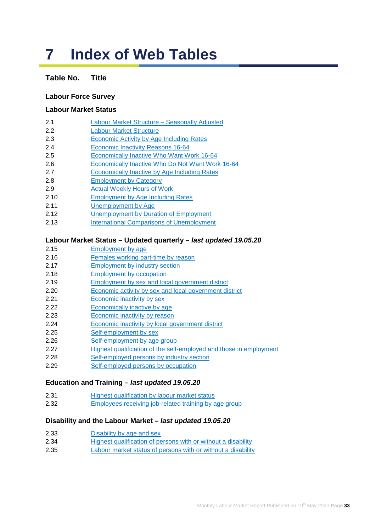# **7 Index of Web Tables**

# **Table No. Title**

# **Labour Force Survey**

#### **Labour Market Status**

- 2.1 [Labour Market Structure –](https://www.nisra.gov.uk/publications/labour-force-survey-tables-may-2020) Seasonally Adjusted
- 2.2 [Labour Market Structure](https://www.nisra.gov.uk/publications/labour-force-survey-tables-may-2020)
- 2.3 [Economic Activity by Age](https://www.nisra.gov.uk/publications/labour-force-survey-tables-may-2020) Including Rates
- 2.4 [Economic Inactivity Reasons 16-64](https://www.nisra.gov.uk/publications/labour-force-survey-tables-may-2020)
- 2.5 [Economically Inactive Who Want Work](https://www.nisra.gov.uk/publications/labour-force-survey-tables-may-2020) 16-64
- 2.6 [Economically Inactive Who Do Not Want Work](https://www.nisra.gov.uk/publications/labour-force-survey-tables-may-2020) 16-64
- 2.7 [Economically Inactive by Age](https://www.nisra.gov.uk/publications/labour-force-survey-tables-may-2020) Including Rates
- 2.8 [Employment by Category](https://www.nisra.gov.uk/publications/labour-force-survey-tables-may-2020)
- 2.9 [Actual Weekly Hours of Work](https://www.nisra.gov.uk/publications/labour-force-survey-tables-may-2020)
- 2.10 [Employment by Age](https://www.nisra.gov.uk/publications/labour-force-survey-tables-may-2020) Including Rates
- 2.11 [Unemployment by Age](https://www.nisra.gov.uk/publications/labour-force-survey-tables-may-2020)
- 2.12 [Unemployment by Duration](https://www.nisra.gov.uk/publications/labour-force-survey-tables-may-2020) of Employment
- 2.13 [International Comparisons of Unemployment](https://www.nisra.gov.uk/publications/labour-force-survey-tables-may-2020)

#### **Labour Market Status – Updated quarterly –** *last updated 19.05.20*

- 2.15 [Employment by age](https://www.nisra.gov.uk/publications/quarterly-labour-force-survey-tables-may-2020)
- 2.16 [Females working part-time by reason](https://www.nisra.gov.uk/publications/quarterly-labour-force-survey-tables-may-2020)
- 2.17 [Employment by industry section](https://www.nisra.gov.uk/publications/quarterly-labour-force-survey-tables-may-2020)
- 2.18 [Employment by occupation](https://www.nisra.gov.uk/publications/quarterly-labour-force-survey-tables-may-2020)
- 2.19 [Employment by sex and local government district](https://www.nisra.gov.uk/publications/quarterly-labour-force-survey-tables-may-2020)
- 2.20 [Economic activity by sex and local government district](https://www.nisra.gov.uk/publications/quarterly-labour-force-survey-tables-may-2020)
- 2.21 [Economic inactivity by sex](https://www.nisra.gov.uk/publications/quarterly-labour-force-survey-tables-may-2020)
- 2.22 [Economically inactive](https://www.nisra.gov.uk/publications/quarterly-labour-force-survey-tables-may-2020) by age
- 2.23 [Economic inactivity](https://www.nisra.gov.uk/publications/quarterly-labour-force-survey-tables-may-2020) by reason
- 2.24 [Economic inactivity by local government district](https://www.nisra.gov.uk/publications/quarterly-labour-force-survey-tables-may-2020)
- 2.25 [Self-employment by sex](https://www.nisra.gov.uk/publications/quarterly-labour-force-survey-tables-may-2020)
- 2.26 [Self-employment by age group](https://www.nisra.gov.uk/publications/quarterly-labour-force-survey-tables-may-2020)
- 2.27 [Highest qualification of the self-employed and those in employment](https://www.nisra.gov.uk/publications/quarterly-labour-force-survey-tables-may-2020)
- 2.28 [Self-employed persons by industry section](https://www.nisra.gov.uk/publications/quarterly-labour-force-survey-tables-may-2020)
- 2.29 [Self-employed persons by occupation](https://www.nisra.gov.uk/publications/quarterly-labour-force-survey-tables-may-2020)

# **Education and Training –** *last updated 19.05.20*

- 2.31 [Highest qualification by labour market status](https://www.nisra.gov.uk/publications/quarterly-labour-force-survey-tables-may-2020)
- 2.32 [Employees receiving job-related training by age group](https://www.nisra.gov.uk/publications/quarterly-labour-force-survey-tables-may-2020)

#### **Disability and the Labour Market –** *last updated 19.05.20*

- 2.33 [Disability by age and sex](https://www.nisra.gov.uk/publications/quarterly-labour-force-survey-tables-may-2020)
- 2.34 [Highest qualification of persons with or without a disability](https://www.nisra.gov.uk/publications/quarterly-labour-force-survey-tables-may-2020)
- 2.35 [Labour market status of persons with or without a disability](https://www.nisra.gov.uk/publications/quarterly-labour-force-survey-tables-may-2020)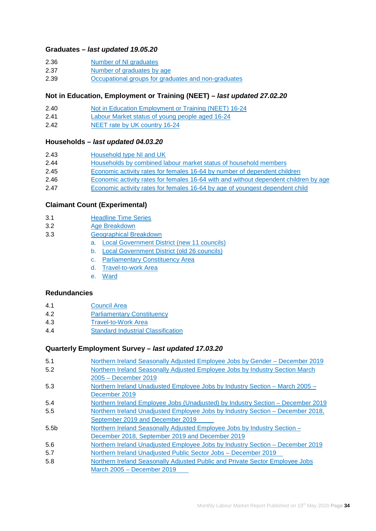#### **Graduates –** *last updated 19.05.20*

- 2.36 [Number of NI graduates](https://www.nisra.gov.uk/publications/quarterly-labour-force-survey-tables-may-2020)
- 2.37 [Number of graduates by age](https://www.nisra.gov.uk/publications/quarterly-labour-force-survey-tables-may-2020)
- 2.39 [Occupational groups for graduates and non-graduates](https://www.nisra.gov.uk/publications/quarterly-labour-force-survey-tables-may-2020)

#### **Not in Education, Employment or Training (NEET) –** *last updated 27.02.20*

- 2.40 [Not in Education Employment or Training \(NEET\)](https://www.nisra.gov.uk/publications/quarterly-labour-force-survey-tables-FEBRUARY-2020) 16-24
- 2.41 [Labour Market status of young people aged 16-24](https://www.nisra.gov.uk/publications/quarterly-labour-force-survey-tables-FEBRUARY-2020)
- 2.42 [NEET rate by UK country](https://www.nisra.gov.uk/publications/quarterly-labour-force-survey-tables-FEBRUARY-2020) 16-24

#### **Households –** *last updated 04.03.20*

| 2.43 | Household type NI and UK |  |
|------|--------------------------|--|
|      |                          |  |

- 2.44 [Households by combined labour market status of household members](https://www.nisra.gov.uk/publications/quarterly-labour-force-survey-tables-february-2020)
- 2.45 [Economic activity rates for females 16-64 by number of dependent children](https://www.nisra.gov.uk/publications/quarterly-labour-force-survey-tables-february-2020)
- 2.46 [Economic activity rates for females 16-64 with and without dependent children by age](https://www.nisra.gov.uk/publications/quarterly-labour-force-survey-tables-february-2020)
- 2.47 [Economic activity rates for females 16-64 by age of youngest dependent child](https://www.nisra.gov.uk/publications/quarterly-labour-force-survey-tables-february-2020)

#### **[Claimant Count \(Experimental\)](https://www.nisra.gov.uk/publications/claimant-count-tables)**

- 3.1 [Headline Time Series](https://www.nisra.gov.uk/publications/claimant-count-tables)
- 3.2 [Age Breakdown](https://www.nisra.gov.uk/publications/claimant-count-tables)
- 3.3 [Geographical Breakdown](https://www.nisra.gov.uk/publications/claimant-count-tables)
	- a. [Local Government District](https://www.nisra.gov.uk/publications/claimant-count-tables) (new 11 councils)
	- b. [Local Government District \(old 26 councils\)](https://www.nisra.gov.uk/publications/claimant-count-tables)
	- c. [Parliamentary Constituency Area](https://www.nisra.gov.uk/publications/claimant-count-tables)
	- d. [Travel-to-work Area](https://www.nisra.gov.uk/publications/claimant-count-tables)
	- e. [Ward](https://www.nisra.gov.uk/publications/claimant-count-tables)

#### **[Redundancies](https://www.nisra.gov.uk/publications/redundancy-tables)**

- 4.1 [Council Area](https://www.nisra.gov.uk/publications/redundancy-tables)
- 4.2 [Parliamentary Constituency](https://www.nisra.gov.uk/publications/redundancy-tables)
- 4.3 [Travel-to-Work Area](https://www.nisra.gov.uk/publications/redundancy-tables)
- 4.4 [Standard Industrial Classification](https://www.nisra.gov.uk/publications/redundancy-tables)

#### **Quarterly Employment Survey –** *last updated 17.03.20*

| 5.1              | Northern Ireland Seasonally Adjusted Employee Jobs by Gender – December 2019    |
|------------------|---------------------------------------------------------------------------------|
| 5.2              | Northern Ireland Seasonally Adjusted Employee Jobs by Industry Section March    |
|                  | 2005 - December 2019                                                            |
| 5.3              | Northern Ireland Unadjusted Employee Jobs by Industry Section - March 2005 -    |
|                  | December 2019                                                                   |
| 5.4              | Northern Ireland Employee Jobs (Unadjusted) by Industry Section – December 2019 |
| 5.5              | Northern Ireland Unadjusted Employee Jobs by Industry Section – December 2018,  |
|                  | September 2019 and December 2019                                                |
| 5.5 <sub>b</sub> | Northern Ireland Seasonally Adjusted Employee Jobs by Industry Section -        |
|                  | December 2018, September 2019 and December 2019                                 |
| 5.6              | Northern Ireland Unadjusted Employee Jobs by Industry Section - December 2019   |
| 5.7              | Northern Ireland Unadjusted Public Sector Jobs - December 2019                  |
| 5.8              | Northern Ireland Seasonally Adjusted Public and Private Sector Employee Jobs    |
|                  | March 2005 - December 2019                                                      |